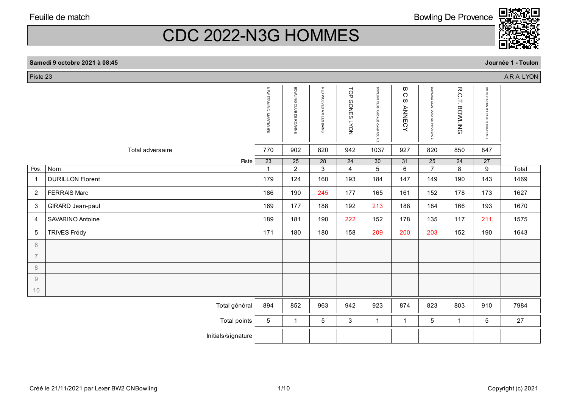CDC 2022-N3G HOMMES

|                | Samedi 9 octobre 2021 à 08:45 |                            |                        |                             |                                        |                              |                              |                                   |                       |                                   | Journée 1 - Toulon |
|----------------|-------------------------------|----------------------------|------------------------|-----------------------------|----------------------------------------|------------------------------|------------------------------|-----------------------------------|-----------------------|-----------------------------------|--------------------|
| Piste 23       |                               |                            |                        |                             |                                        |                              |                              |                                   |                       |                                   | ARA LYON           |
|                |                               | NEW TEAM B.C.<br>MARTIGUES | BOWLING CLUB DE ROANNE | RED WOLVES<br>AIX LES BAINS | TOP<br><b>GONES</b><br>NO <sub>A</sub> | BOWLING CLUB AMICALE CAMARGU | ω<br>C<br>ω<br><b>ANNECY</b> | BOWLING CLUB D'AIX EN PROVENCE    | <b>R.C.T. BOWLING</b> | BC TRICASTIN ST PAUL 3 CHATEAUX   |                    |
|                | Total adversaire              | 770                        | 902                    | 820                         | 942                                    | 1037                         | 927                          | 820                               | 850                   | 847                               |                    |
| Pos.           | Piste<br>Nom                  | 23<br>$\overline{ }$       | 25<br>$\overline{2}$   | 28<br>3                     | 24<br>$\overline{4}$                   | 30<br>5                      | 31<br>6                      | $\overline{25}$<br>$\overline{7}$ | 24<br>8               | $\overline{27}$<br>$\overline{9}$ | Total              |
| $\overline{1}$ | <b>DURILLON Florent</b>       | 179                        | 124                    | 160                         | 193                                    | 184                          | 147                          | 149                               | 190                   | 143                               | 1469               |
| $\overline{2}$ | <b>FERRAIS Marc</b>           | 186                        | 190                    | 245                         | 177                                    | 165                          | 161                          | 152                               | 178                   | 173                               | 1627               |
| 3              | GIRARD Jean-paul              | 169                        | 177                    | 188                         | 192                                    | 213                          | 188                          | 184                               | 166                   | 193                               | 1670               |
| $\overline{4}$ | SAVARINO Antoine              | 189                        | 181                    | 190                         | 222                                    | 152                          | 178                          | 135                               | 117                   | 211                               | 1575               |
| 5              | <b>TRIVES Frédy</b>           | 171                        | 180                    | 180                         | 158                                    | 209                          | 200                          | 203                               | 152                   | 190                               | 1643               |
| 6              |                               |                            |                        |                             |                                        |                              |                              |                                   |                       |                                   |                    |
| $\overline{7}$ |                               |                            |                        |                             |                                        |                              |                              |                                   |                       |                                   |                    |
| 8              |                               |                            |                        |                             |                                        |                              |                              |                                   |                       |                                   |                    |
| $9\,$          |                               |                            |                        |                             |                                        |                              |                              |                                   |                       |                                   |                    |
| 10             |                               |                            |                        |                             |                                        |                              |                              |                                   |                       |                                   |                    |
|                | Total général                 | 894                        | 852                    | 963                         | 942                                    | 923                          | 874                          | 823                               | 803                   | 910                               | 7984               |

Bowling De Provence

Initials/signature

Total points 5 1 1 5 3 1 1 1 5 1 5 27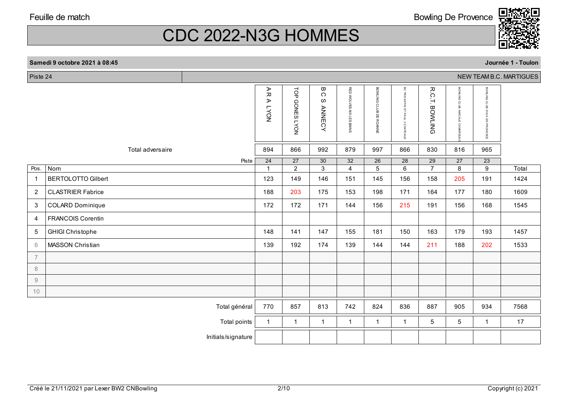Bowling De Provence



# CDC 2022-N3G HOMMES

|                | Journée 1 - Toulon<br>Samedi 9 octobre 2021 à 08:45 |                    |                                 |                                    |                                                    |                                   |                                   |                                                             |                                   |                                          |                                   |                         |
|----------------|-----------------------------------------------------|--------------------|---------------------------------|------------------------------------|----------------------------------------------------|-----------------------------------|-----------------------------------|-------------------------------------------------------------|-----------------------------------|------------------------------------------|-----------------------------------|-------------------------|
| Piste 24       |                                                     |                    |                                 |                                    |                                                    |                                   |                                   |                                                             |                                   |                                          |                                   | NEW TEAM B.C. MARTIGUES |
|                |                                                     |                    | AR<br>⋗<br><b>LYON</b>          | $\frac{1}{2}$<br><b>GONES LYON</b> | $\pmb{\varpi}$<br>$\bigcirc$<br>ω<br><b>ANNECY</b> | RED WOLVES AIX LES BAINS          | BOWLING CLUB DE ROANNE            | ី<br>TRICASTIN ST PAUL<br>$\boldsymbol{\omega}$<br>CHATEAUX | R.C.T.<br><b>BOWLING</b>          | BOWLING CLUB<br><b>AMICALE</b><br>CAMARG | BOWLING CLUB D'AIX EN PROVENCE    |                         |
|                | Total adversaire                                    |                    | 894                             | 866                                | 992                                                | 879                               | 997                               | 866                                                         | 830                               | 816                                      | 965                               |                         |
| Pos.           | Nom                                                 | Piste              | $\overline{24}$<br>$\mathbf{1}$ | $\overline{27}$<br>$\overline{2}$  | $\overline{30}$<br>$\overline{3}$                  | $\overline{32}$<br>$\overline{4}$ | $\overline{26}$<br>$\overline{5}$ | $\overline{28}$<br>$\overline{6}$                           | $\overline{29}$<br>$\overline{7}$ | $\overline{27}$<br>$\overline{8}$        | $\overline{23}$<br>$\overline{9}$ | Total                   |
| $\overline{1}$ | <b>BERTOLOTTO Gilbert</b>                           |                    | 123                             | 149                                | 146                                                | 151                               | 145                               | 156                                                         | 158                               | 205                                      | 191                               | 1424                    |
| $\overline{2}$ | <b>CLASTRIER Fabrice</b>                            |                    | 188                             | 203                                | 175                                                | 153                               | 198                               | 171                                                         | 164                               | 177                                      | 180                               | 1609                    |
| 3              | <b>COLARD Dominique</b>                             |                    | 172                             | 172                                | 171                                                | 144                               | 156                               | 215                                                         | 191                               | 156                                      | 168                               | 1545                    |
| 4              | <b>FRANCOIS Corentin</b>                            |                    |                                 |                                    |                                                    |                                   |                                   |                                                             |                                   |                                          |                                   |                         |
| $\sqrt{5}$     | <b>GHIGI Christophe</b>                             |                    | 148                             | 141                                | 147                                                | 155                               | 181                               | 150                                                         | 163                               | 179                                      | 193                               | 1457                    |
| $6\,$          | MASSON Christian                                    |                    | 139                             | 192                                | 174                                                | 139                               | 144                               | 144                                                         | 211                               | 188                                      | 202                               | 1533                    |
| $\overline{7}$ |                                                     |                    |                                 |                                    |                                                    |                                   |                                   |                                                             |                                   |                                          |                                   |                         |
| $\,8\,$        |                                                     |                    |                                 |                                    |                                                    |                                   |                                   |                                                             |                                   |                                          |                                   |                         |
| $\mathcal G$   |                                                     |                    |                                 |                                    |                                                    |                                   |                                   |                                                             |                                   |                                          |                                   |                         |
| 10             |                                                     |                    |                                 |                                    |                                                    |                                   |                                   |                                                             |                                   |                                          |                                   |                         |
|                |                                                     | Total général      | 770                             | 857                                | 813                                                | 742                               | 824                               | 836                                                         | 887                               | 905                                      | 934                               | 7568                    |
|                |                                                     | Total points       | $\mathbf{1}$                    | $\mathbf{1}$                       | $\mathbf{1}$                                       | $\mathbf{1}$                      | $\mathbf{1}$                      | $\mathbf 1$                                                 | 5 <sup>5</sup>                    | 5                                        | $\mathbf{1}$                      | $17\,$                  |
|                |                                                     | Initials/signature |                                 |                                    |                                                    |                                   |                                   |                                                             |                                   |                                          |                                   |                         |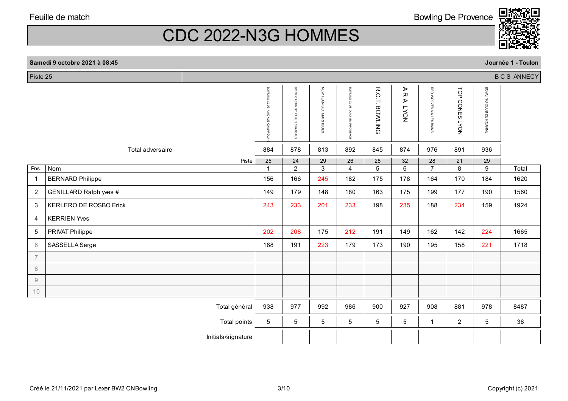**Samedi 9 octobre 2021 à 08:45**

CDC 2022-N3G HOMMES

| Piste 25       |                               |                    |                                            |                                      |                            |                                |                                   |                                                                                       |                                   |                      |                                   | <b>BCS ANNECY</b> |
|----------------|-------------------------------|--------------------|--------------------------------------------|--------------------------------------|----------------------------|--------------------------------|-----------------------------------|---------------------------------------------------------------------------------------|-----------------------------------|----------------------|-----------------------------------|-------------------|
|                |                               |                    | BOWLING CLUB<br><b>AMICALE</b><br>CAMARGUA | BC TRICASTIN ST PAUL<br>- 3 CHATEAUX | NEW TEAM B.C.<br>MARTIGUES | BOWLING CLUB D'AIX EN PROVENCE | R.C.T.<br><b>BOWLING</b>          | $\blacktriangleright$<br>$\overline{\lambda}$<br>$\blacktriangleright$<br><b>NOV1</b> | RED WOLVES AIX LES BAINS          | TOP GONES LYON       | BOWLING CLUB DE ROANNE            |                   |
|                | Total adversaire              |                    | 884                                        | 878                                  | 813                        | 892                            | 845                               | 874                                                                                   | 976                               | 891                  | 936                               |                   |
| Pos.           | $\overline{\text{Nom}}$       | Piste              | 25                                         | 24<br>$\overline{2}$                 | 29<br>$\overline{3}$       | 26<br>$\overline{4}$           | $\overline{28}$<br>$\overline{5}$ | 32<br>$\overline{6}$                                                                  | $\overline{28}$<br>$\overline{7}$ | 21<br>$\overline{8}$ | $\overline{29}$<br>$\overline{9}$ | Total             |
| $\overline{1}$ | <b>BERNARD Philippe</b>       |                    | 156                                        | 166                                  | 245                        | 182                            | 175                               | 178                                                                                   | 164                               | 170                  | 184                               | 1620              |
|                |                               |                    |                                            |                                      |                            |                                |                                   |                                                                                       |                                   |                      |                                   |                   |
| 2              | GENILLARD Ralph yves #        |                    | 149                                        | 179                                  | 148                        | 180                            | 163                               | 175                                                                                   | 199                               | 177                  | 190                               | 1560              |
| 3              | <b>KERLERO DE ROSBO Erick</b> |                    | 243                                        | 233                                  | 201                        | 233                            | 198                               | 235                                                                                   | 188                               | 234                  | 159                               | 1924              |
| 4              | <b>KERRIEN Yves</b>           |                    |                                            |                                      |                            |                                |                                   |                                                                                       |                                   |                      |                                   |                   |
| 5              | PRIVAT Philippe               |                    | 202                                        | 208                                  | 175                        | 212                            | 191                               | 149                                                                                   | 162                               | 142                  | 224                               | 1665              |
| 6              | SASSELLA Serge                |                    | 188                                        | 191                                  | 223                        | 179                            | 173                               | 190                                                                                   | 195                               | 158                  | 221                               | 1718              |
| $\overline{7}$ |                               |                    |                                            |                                      |                            |                                |                                   |                                                                                       |                                   |                      |                                   |                   |
| 8              |                               |                    |                                            |                                      |                            |                                |                                   |                                                                                       |                                   |                      |                                   |                   |
| $\mathcal G$   |                               |                    |                                            |                                      |                            |                                |                                   |                                                                                       |                                   |                      |                                   |                   |
| 10             |                               |                    |                                            |                                      |                            |                                |                                   |                                                                                       |                                   |                      |                                   |                   |
|                |                               | Total général      | 938                                        | 977                                  | 992                        | 986                            | 900                               | 927                                                                                   | 908                               | 881                  | 978                               | 8487              |
|                |                               | Total points       | 5                                          | 5                                    | 5 <sup>5</sup>             | $5\phantom{.0}$                | $5\phantom{.0}$                   | $5\phantom{.0}$                                                                       | $\mathbf{1}$                      | $\boldsymbol{2}$     | $5\phantom{.0}$                   | 38                |
|                |                               | Initials/signature |                                            |                                      |                            |                                |                                   |                                                                                       |                                   |                      |                                   |                   |

**Journée 1 - Toulon**

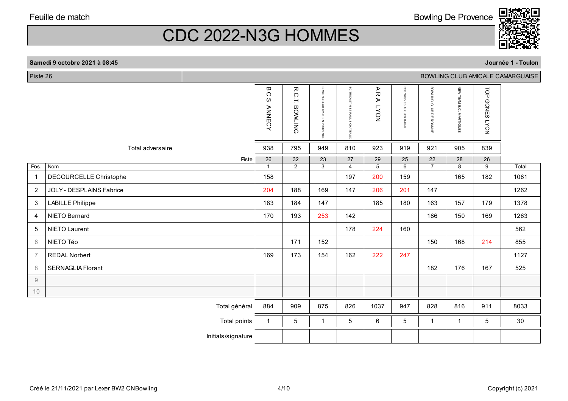Bowling De Provence



**Journée 1 - Toulon**

# CDC 2022-N3G HOMMES

| Piste 26<br>BOWLING CLUB AMICALE CAMARGUAISE |                          |                    |                                                     |                                   |                                   |                                                    |                                         |                          |                                   |                         |                                   |       |
|----------------------------------------------|--------------------------|--------------------|-----------------------------------------------------|-----------------------------------|-----------------------------------|----------------------------------------------------|-----------------------------------------|--------------------------|-----------------------------------|-------------------------|-----------------------------------|-------|
|                                              |                          |                    | ω<br>$\bigcirc$<br>${\mathcal{O}}$<br><b>ANNECY</b> | <b>R.C.T. BOWLING</b>             | BOWLING CLUB<br>D'AIX EN PROVENCE | $_{\circ}^{\circ}$<br>TRICASTIN ST PAUL 3 CHATEAUX | ⋗<br>观<br>$\blacktriangleright$<br>NOV1 | RED WOLVES AIX LES BAINS | BOWLING CLUB DE ROANNE            | NEW TEAM B.C. MARTIGUES | TOP<br><b>GONES LYON</b>          |       |
|                                              | Total adversaire         |                    | 938                                                 | 795                               | 949                               | 810                                                | 923                                     | 919                      | 921                               | 905                     | 839                               |       |
| Pos.                                         | Nom                      | Piste              | $\overline{26}$<br>$\mathbf{1}$                     | $\overline{32}$<br>$\overline{2}$ | $\overline{23}$<br>$\overline{3}$ | $\overline{27}$<br>4                               | 29<br>$\overline{5}$                    | $\overline{25}$<br>6     | $\overline{22}$<br>$\overline{7}$ | $\overline{28}$<br>8    | $\overline{26}$<br>$\overline{9}$ | Total |
| $\mathbf{1}$                                 | DECOURCELLE Christophe   |                    | 158                                                 |                                   |                                   | 197                                                | 200                                     | 159                      |                                   | 165                     | 182                               | 1061  |
| $\overline{2}$                               | JOLY - DESPLAINS Fabrice |                    | 204                                                 | 188                               | 169                               | 147                                                | 206                                     | 201                      | 147                               |                         |                                   | 1262  |
| 3                                            | <b>LABILLE Philippe</b>  |                    | 183                                                 | 184                               | 147                               |                                                    | 185                                     | 180                      | 163                               | 157                     | 179                               | 1378  |
| 4                                            | NIETO Bernard            |                    | 170                                                 | 193                               | 253                               | 142                                                |                                         |                          | 186                               | 150                     | 169                               | 1263  |
| 5                                            | NIETO Laurent            |                    |                                                     |                                   |                                   | 178                                                | 224                                     | 160                      |                                   |                         |                                   | 562   |
| 6                                            | NIETO Téo                |                    |                                                     | 171                               | 152                               |                                                    |                                         |                          | 150                               | 168                     | 214                               | 855   |
| $\overline{7}$                               | <b>REDAL Norbert</b>     |                    | 169                                                 | 173                               | 154                               | 162                                                | 222                                     | 247                      |                                   |                         |                                   | 1127  |
| 8                                            | <b>SERNAGLIA Florant</b> |                    |                                                     |                                   |                                   |                                                    |                                         |                          | 182                               | 176                     | 167                               | 525   |
| $\mathcal G$                                 |                          |                    |                                                     |                                   |                                   |                                                    |                                         |                          |                                   |                         |                                   |       |
| 10                                           |                          |                    |                                                     |                                   |                                   |                                                    |                                         |                          |                                   |                         |                                   |       |
|                                              |                          | Total général      | 884                                                 | 909                               | 875                               | 826                                                | 1037                                    | 947                      | 828                               | 816                     | 911                               | 8033  |
|                                              |                          | Total points       | $\mathbf{1}$                                        | 5                                 | $\mathbf{1}$                      | 5                                                  | 6                                       | 5                        | $\mathbf 1$                       | $\mathbf{1}$            | 5                                 | 30    |
|                                              |                          | Initials/signature |                                                     |                                   |                                   |                                                    |                                         |                          |                                   |                         |                                   |       |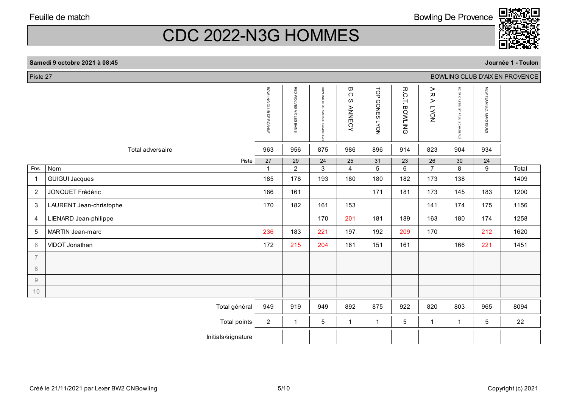Bowling De Provence



**Journée 1 - Toulon**

# CDC 2022-N3G HOMMES

| Piste 27<br>BOWLING CLUB D'AIX EN PROVENCE                |                         |                                 |                          |                                   |                                                                 |                                   |                                   |                                            |                                                                 |                                   |       |
|-----------------------------------------------------------|-------------------------|---------------------------------|--------------------------|-----------------------------------|-----------------------------------------------------------------|-----------------------------------|-----------------------------------|--------------------------------------------|-----------------------------------------------------------------|-----------------------------------|-------|
|                                                           |                         | BOWLING CLUB DE ROANNE          | RED WOLVES AIX LES BAINS | BOWLING CLUB<br>AMICALE CAMARGL   | $\hbox{\scriptsize\rm \Xi}$<br>$\bigcirc$<br>ω<br><b>ANNECY</b> | TOP GONES LYON                    | R.C<br>Ή<br><b>BOWLING</b>        | ΑR<br>$\blacktriangleright$<br><b>NOAT</b> | $_{\circ}^{\circ}$<br>TRICASTIN ST PAUL<br>$\omega$<br>CHATEAUX | NEW TEAM B.C. MARTIGUES           |       |
|                                                           | Total adversaire        | 963                             | 956                      | 875                               | 986                                                             | 896                               | 914                               | 823                                        | 904                                                             | 934                               |       |
| Pos.                                                      | Piste<br>Nom            | $\overline{27}$<br>$\mathbf{1}$ | 29<br>$\overline{2}$     | $\overline{24}$<br>$\overline{3}$ | $\overline{25}$<br>$\overline{4}$                               | $\overline{31}$<br>$\overline{5}$ | $\overline{23}$<br>$\overline{6}$ | $\overline{26}$<br>$\overline{7}$          | $\overline{30}$<br>$\overline{8}$                               | $\overline{24}$<br>$\overline{9}$ | Total |
| $\mathbf{1}$                                              | <b>GUIGUI Jacques</b>   | 185                             | 178                      | 193                               | 180                                                             | 180                               | 182                               | 173                                        | 138                                                             |                                   | 1409  |
| $\overline{2}$                                            | JONQUET Frédéric        | 186                             | 161                      |                                   |                                                                 | 171                               | 181                               | 173                                        | 145                                                             | 183                               | 1200  |
| 3                                                         | LAURENT Jean-christophe | 170                             | 182                      | 161                               | 153                                                             |                                   |                                   | 141                                        | 174                                                             | 175                               | 1156  |
| 4                                                         | LIENARD Jean-philippe   |                                 |                          | 170                               | 201                                                             | 181                               | 189                               | 163                                        | 180                                                             | 174                               | 1258  |
| $\sqrt{5}$                                                | MARTIN Jean-marc        | 236                             | 183                      | 221                               | 197                                                             | 192                               | 209                               | 170                                        |                                                                 | 212                               | 1620  |
| $\,$ 6 $\,$                                               | VIDOT Jonathan          | 172                             | 215                      | 204                               | 161                                                             | 151                               | 161                               |                                            | 166                                                             | 221                               | 1451  |
| $\overline{7}$                                            |                         |                                 |                          |                                   |                                                                 |                                   |                                   |                                            |                                                                 |                                   |       |
| $\,8\,$                                                   |                         |                                 |                          |                                   |                                                                 |                                   |                                   |                                            |                                                                 |                                   |       |
| $\mathcal{G}% _{M_{1},M_{2}}^{\alpha,\beta}(\mathcal{G})$ |                         |                                 |                          |                                   |                                                                 |                                   |                                   |                                            |                                                                 |                                   |       |
| 10                                                        |                         |                                 |                          |                                   |                                                                 |                                   |                                   |                                            |                                                                 |                                   |       |
|                                                           | Total général           | 949                             | 919                      | 949                               | 892                                                             | 875                               | 922                               | 820                                        | 803                                                             | 965                               | 8094  |
|                                                           | Total points            | $\overline{c}$                  | $\mathbf{1}$             | $\overline{5}$                    | $\mathbf{1}$                                                    | $\mathbf{1}$                      | 5                                 | $\mathbf{1}$                               | $\mathbf{1}$                                                    | 5                                 | 22    |
|                                                           | Initials/signature      |                                 |                          |                                   |                                                                 |                                   |                                   |                                            |                                                                 |                                   |       |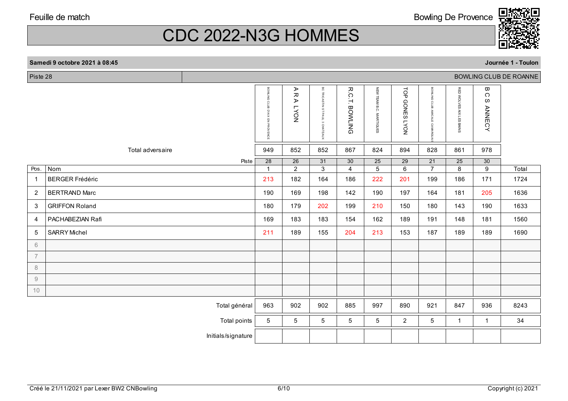Piste 28

CDC 2022-N3G HOMMES

**Journée 1 - Toulon**

| Piste 28               |                        |                    |                                                                   |                            |                                         |                          |                                   |                          |                                                    |                                   |                              | BOWLING CLUB DE ROANNE |
|------------------------|------------------------|--------------------|-------------------------------------------------------------------|----------------------------|-----------------------------------------|--------------------------|-----------------------------------|--------------------------|----------------------------------------------------|-----------------------------------|------------------------------|------------------------|
|                        |                        |                    | <b>BOWLING</b><br>$\Omega$<br>늡<br>D'AIX<br>Γ,<br><b>PROVENCE</b> | ⋗<br>ᅎ<br>⋗<br><b>LYON</b> | BC TRICAS<br>글<br>ST PAUL<br>3 CHATEAUX | R.C.T.<br><b>BOWLING</b> | NEW TEAM B.C. MARTIGUES           | TOP<br><b>GONES LYON</b> | BOWLING<br>$\Omega$<br>늚<br>ΜA<br>Š<br><b>MARC</b> | RED WOLVES AIX LES BAINS          | ω<br>C<br>လ<br><b>ANNECY</b> |                        |
|                        | Total adversaire       |                    | 949                                                               | 852                        | 852                                     | 867                      | 824                               | 894                      | 828                                                | 861                               | 978                          |                        |
|                        |                        | Piste              | $\overline{28}$<br>$\mathbf{1}$                                   | 26                         | $\overline{31}$<br>$\overline{3}$       | 30<br>$\overline{4}$     | $\overline{25}$<br>$\overline{5}$ | 29<br>$\overline{6}$     | $\overline{21}$<br>$\overline{7}$                  | $\overline{25}$<br>$\overline{8}$ | $\overline{30}$              |                        |
| Pos.                   | Nom                    |                    |                                                                   | $\overline{2}$             |                                         |                          |                                   |                          |                                                    |                                   | $\overline{9}$               | Total                  |
| $\mathbf 1$            | <b>BERGER Frédéric</b> |                    | 213                                                               | 182                        | 164                                     | 186                      | 222                               | 201                      | 199                                                | 186                               | 171                          | 1724                   |
| $\overline{2}$         | <b>BERTRAND Marc</b>   |                    | 190                                                               | 169                        | 198                                     | 142                      | 190                               | 197                      | 164                                                | 181                               | 205                          | 1636                   |
| $\mathbf{3}$           | <b>GRIFFON Roland</b>  |                    | 180                                                               | 179                        | 202                                     | 199                      | 210                               | 150                      | 180                                                | 143                               | 190                          | 1633                   |
| 4                      | PACHABEZIAN Rafi       |                    | 169                                                               | 183                        | 183                                     | 154                      | 162                               | 189                      | 191                                                | 148                               | 181                          | 1560                   |
| 5                      | <b>SARRY Michel</b>    |                    | 211                                                               | 189                        | 155                                     | 204                      | 213                               | 153                      | 187                                                | 189                               | 189                          | 1690                   |
| 6                      |                        |                    |                                                                   |                            |                                         |                          |                                   |                          |                                                    |                                   |                              |                        |
| $\overline{7}$         |                        |                    |                                                                   |                            |                                         |                          |                                   |                          |                                                    |                                   |                              |                        |
| $\,8\,$                |                        |                    |                                                                   |                            |                                         |                          |                                   |                          |                                                    |                                   |                              |                        |
| $\mathrel{\mathsf{g}}$ |                        |                    |                                                                   |                            |                                         |                          |                                   |                          |                                                    |                                   |                              |                        |
| 10                     |                        |                    |                                                                   |                            |                                         |                          |                                   |                          |                                                    |                                   |                              |                        |
|                        |                        | Total général      | 963                                                               | 902                        | 902                                     | 885                      | 997                               | 890                      | 921                                                | 847                               | 936                          | 8243                   |
|                        |                        | Total points       | $5\phantom{.0}$                                                   | 5                          | 5                                       | $5\phantom{.0}$          | 5                                 | $\overline{2}$           | 5                                                  | $\mathbf{1}$                      | $\mathbf{1}$                 | 34                     |
|                        |                        | Initials/signature |                                                                   |                            |                                         |                          |                                   |                          |                                                    |                                   |                              |                        |
|                        |                        |                    |                                                                   |                            |                                         |                          |                                   |                          |                                                    |                                   |                              |                        |



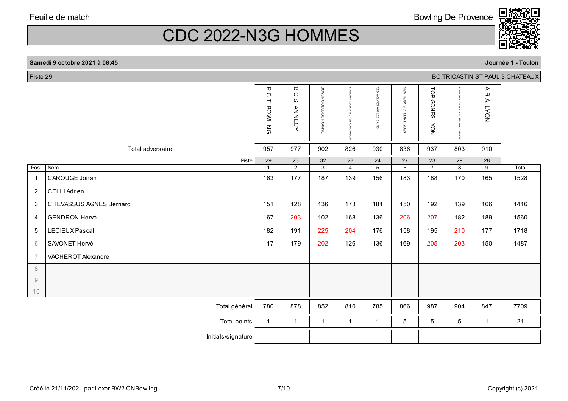Bowling De Provence



**Journée 1 - Toulon**

# CDC 2022-N3G HOMMES

| Piste 29       |                                | BC TRICASTIN ST PAUL 3 CHATEAUX |                                 |                                                 |                                   |                                                         |                                       |                                   |                                        |                                   |                                   |       |
|----------------|--------------------------------|---------------------------------|---------------------------------|-------------------------------------------------|-----------------------------------|---------------------------------------------------------|---------------------------------------|-----------------------------------|----------------------------------------|-----------------------------------|-----------------------------------|-------|
|                |                                |                                 | <b>R.C.T. BOWLING</b>           | $\pmb{\varpi}$<br>$\circ$<br>ဖ<br><b>ANNECY</b> | BOWLING CLUB DE ROANNE            | <b>BOWLING</b><br>crus<br><b>AMICALE</b><br><b>CAMP</b> | RED WOLVES<br><b>AIX LES</b><br>BAINS | NEW TEAM B.C. MARTIGUES           | TOP<br><b>GONES</b><br>NO <sub>A</sub> | BOWLING CLUB D'AIX EN<br>PROVENCE | A R<br>⋗<br>NO <sub>A</sub>       |       |
|                | Total adversaire               |                                 | 957                             | 977                                             | 902                               | 826                                                     | 930                                   | 836                               | 937                                    | 803                               | 910                               |       |
| Pos.           | Nom                            | Piste                           | $\overline{29}$<br>$\mathbf{1}$ | $\overline{23}$<br>$\overline{2}$               | $\overline{32}$<br>$\overline{3}$ | $\overline{28}$<br>$\overline{4}$                       | $\overline{24}$<br>$\overline{5}$     | $\overline{27}$<br>$\overline{6}$ | $\overline{23}$<br>$\overline{7}$      | $\overline{29}$<br>$\overline{8}$ | $\overline{28}$<br>$\overline{9}$ | Total |
| $\mathbf{1}$   | CAROUGE Jonah                  |                                 | 163                             | 177                                             | 187                               | 139                                                     | 156                                   | 183                               | 188                                    | 170                               | 165                               | 1528  |
| $\overline{2}$ | <b>CELLI Adrien</b>            |                                 |                                 |                                                 |                                   |                                                         |                                       |                                   |                                        |                                   |                                   |       |
| 3              | <b>CHEVASSUS AGNES Bernard</b> |                                 | 151                             | 128                                             | 136                               | 173                                                     | 181                                   | 150                               | 192                                    | 139                               | 166                               | 1416  |
| $\overline{4}$ | <b>GENDRON Hervé</b>           |                                 | 167                             | 203                                             | 102                               | 168                                                     | 136                                   | 206                               | 207                                    | 182                               | 189                               | 1560  |
| 5              | LECIEUX Pascal                 |                                 | 182                             | 191                                             | 225                               | 204                                                     | 176                                   | 158                               | 195                                    | 210                               | 177                               | 1718  |
| 6              | SAVONET Hervé                  |                                 | 117                             | 179                                             | 202                               | 126                                                     | 136                                   | 169                               | 205                                    | 203                               | 150                               | 1487  |
| $\overline{7}$ | VACHEROT Alexandre             |                                 |                                 |                                                 |                                   |                                                         |                                       |                                   |                                        |                                   |                                   |       |
| $\,8\,$        |                                |                                 |                                 |                                                 |                                   |                                                         |                                       |                                   |                                        |                                   |                                   |       |
| $\hbox{9}$     |                                |                                 |                                 |                                                 |                                   |                                                         |                                       |                                   |                                        |                                   |                                   |       |
| 10             |                                |                                 |                                 |                                                 |                                   |                                                         |                                       |                                   |                                        |                                   |                                   |       |
|                |                                | Total général                   | 780                             | 878                                             | 852                               | 810                                                     | 785                                   | 866                               | 987                                    | 904                               | 847                               | 7709  |
|                |                                | Total points                    | $\mathbf{1}$                    | $\mathbf{1}$                                    | $\mathbf{1}$                      | $\mathbf{1}$                                            | $\mathbf{1}$                          | 5                                 | 5                                      | 5                                 | $\mathbf{1}$                      | 21    |
|                |                                | Initials/signature              |                                 |                                                 |                                   |                                                         |                                       |                                   |                                        |                                   |                                   |       |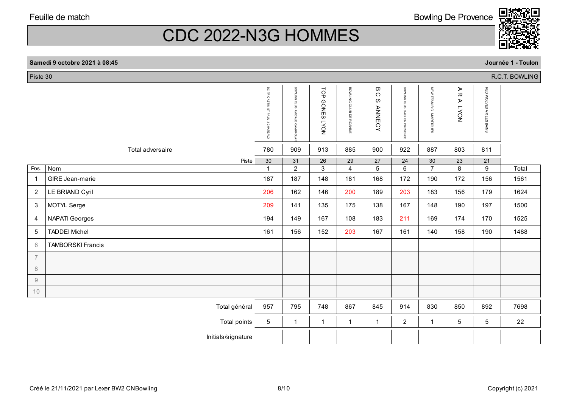**Samedi 9 octobre 2021 à 08:45**

CDC 2022-N3G HOMMES

|                | R.C.T. BOWLING<br>Piste 30 |                    |                                   |                                           |                                   |                                   |                                                  |                                   |                                   |                                   |                                   |       |
|----------------|----------------------------|--------------------|-----------------------------------|-------------------------------------------|-----------------------------------|-----------------------------------|--------------------------------------------------|-----------------------------------|-----------------------------------|-----------------------------------|-----------------------------------|-------|
|                |                            |                    | BC TRICASTIN ST PAUL 3 CHATEAUX   | BOMLING CLUB<br><b>AMICALE</b><br>CAMARGU | TOP<br><b>GONES LYON</b>          | BOWLING CLUB DE ROANNE            | $\pmb{\varpi}$<br>$\Omega$<br>w<br><b>ANNECY</b> | BOWLING CLUB D'AIX EN PROVENCE    | NEW TEAM B.C. MARTIGUES           | AR<br>⋗<br><b>LYON</b>            | RED WOLVES AIX LES BAINS          |       |
|                | Total adversaire           |                    | 780                               | 909                                       | 913                               | 885                               | 900                                              | 922                               | 887                               | 803                               | 811                               |       |
| Pos.           | Nom                        | Piste              | $\overline{30}$<br>$\overline{1}$ | $\overline{31}$<br>$\overline{2}$         | $\overline{26}$<br>$\overline{3}$ | $\overline{29}$<br>$\overline{4}$ | $\overline{27}$<br>$\overline{5}$                | $\overline{24}$<br>$\overline{6}$ | $\overline{30}$<br>$\overline{7}$ | $\overline{23}$<br>$\overline{8}$ | $\overline{21}$<br>$\overline{9}$ | Total |
| $\overline{1}$ | GIRE Jean-marie            |                    | 187                               | 187                                       | 148                               | 181                               | 168                                              | 172                               | 190                               | 172                               | 156                               | 1561  |
| $\overline{2}$ | LE BRIAND Cyril            |                    | 206                               | 162                                       | 146                               | 200                               | 189                                              | 203                               | 183                               | 156                               | 179                               | 1624  |
| $\mathbf{3}$   | MOTYL Serge                |                    | 209                               | 141                                       | 135                               | 175                               | 138                                              | 167                               | 148                               | 190                               | 197                               | 1500  |
| $\overline{4}$ | <b>NAPATI Georges</b>      |                    | 194                               | 149                                       | 167                               | 108                               | 183                                              | 211                               | 169                               | 174                               | 170                               | 1525  |
| 5              | <b>TADDEI Michel</b>       |                    | 161                               | 156                                       | 152                               | 203                               | 167                                              | 161                               | 140                               | 158                               | 190                               | 1488  |
| 6              | <b>TAMBORSKI Francis</b>   |                    |                                   |                                           |                                   |                                   |                                                  |                                   |                                   |                                   |                                   |       |
| $\overline{7}$ |                            |                    |                                   |                                           |                                   |                                   |                                                  |                                   |                                   |                                   |                                   |       |
| 8              |                            |                    |                                   |                                           |                                   |                                   |                                                  |                                   |                                   |                                   |                                   |       |
| $9\,$          |                            |                    |                                   |                                           |                                   |                                   |                                                  |                                   |                                   |                                   |                                   |       |
| 10             |                            |                    |                                   |                                           |                                   |                                   |                                                  |                                   |                                   |                                   |                                   |       |
|                |                            | Total général      | 957                               | 795                                       | 748                               | 867                               | 845                                              | 914                               | 830                               | 850                               | 892                               | 7698  |
|                |                            | Total points       | 5                                 | $\mathbf{1}$                              | $\mathbf{1}$                      | $\mathbf{1}$                      | $\mathbf{1}$                                     | $\overline{2}$                    | $\mathbf{1}$                      | 5                                 | 5                                 | 22    |
|                |                            | Initials/signature |                                   |                                           |                                   |                                   |                                                  |                                   |                                   |                                   |                                   |       |



**Journée 1 - Toulon**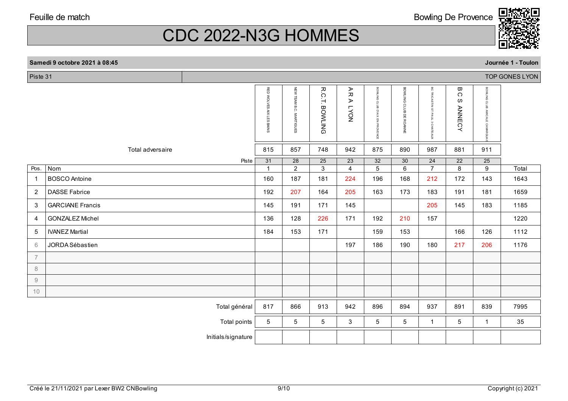Bowling De Provence



# CDC 2022-N3G HOMMES

|                | Samedi 9 octobre 2021 à 08:45 |                     |                          |                         |                               |                                                                                               |                                |                        |                                                             |                                    |                                           | Journée 1 - Toulon |
|----------------|-------------------------------|---------------------|--------------------------|-------------------------|-------------------------------|-----------------------------------------------------------------------------------------------|--------------------------------|------------------------|-------------------------------------------------------------|------------------------------------|-------------------------------------------|--------------------|
| Piste 31       |                               |                     |                          |                         |                               |                                                                                               |                                |                        |                                                             |                                    |                                           | TOP GONES LYON     |
|                |                               |                     | RED WOLVES AIX LES BAINS | NEW TEAM B.C. MARTIGUES | ᅎ<br>Ġ<br>Ή<br><b>BOWLING</b> | $\mathrel{\mathop{\mathsf{A}\vphantom{d}}\nolimits} \mathrel{\mathsf{R}}$<br>⋗<br><b>LYON</b> | BOWLING CLUB D'AIX EN PROVENCE | BOWLING CLUB DE ROANNE | $\overline{5}$<br>TRICASTIN ST PAUL<br>$\omega$<br>CHATEAUX | ω<br>$\circ$<br>w<br><b>ANNECY</b> | BOWLING CLUB<br><b>AMICALE</b><br>CAMARGU |                    |
|                | Total adversaire              |                     | 815                      | 857                     | 748                           | 942                                                                                           | 875                            | 890                    | 987                                                         | 881                                | 911                                       |                    |
|                |                               | Piste               | 31                       | $\overline{28}$         | 25                            | $\overline{23}$                                                                               | 32                             | 30                     | 24                                                          | $\overline{22}$                    | 25                                        |                    |
| Pos.           | Nom                           |                     | $\mathbf{1}$             | $\overline{2}$          | $\overline{3}$                | $\overline{4}$                                                                                | $\overline{5}$                 | $\overline{6}$         | $\overline{7}$                                              | $\overline{8}$                     | $\overline{9}$                            | Total              |
| -1             | <b>BOSCO</b> Antoine          |                     | 160                      | 187                     | 181                           | 224                                                                                           | 196                            | 168                    | 212                                                         | 172                                | 143                                       | 1643               |
| $\overline{2}$ | <b>DASSE Fabrice</b>          |                     | 192                      | 207                     | 164                           | 205                                                                                           | 163                            | 173                    | 183                                                         | 191                                | 181                                       | 1659               |
| 3              | <b>GARCIANE Francis</b>       |                     | 145                      | 191                     | 171                           | 145                                                                                           |                                |                        | 205                                                         | 145                                | 183                                       | 1185               |
| $\overline{4}$ | <b>GONZALEZ Michel</b>        |                     | 136                      | 128                     | 226                           | 171                                                                                           | 192                            | 210                    | 157                                                         |                                    |                                           | 1220               |
| 5              | <b>IVANEZ Martial</b>         |                     | 184                      | 153                     | 171                           |                                                                                               | 159                            | 153                    |                                                             | 166                                | 126                                       | 1112               |
| 6              | JORDA Sébastien               |                     |                          |                         |                               | 197                                                                                           | 186                            | 190                    | 180                                                         | 217                                | 206                                       | 1176               |
| $\overline{7}$ |                               |                     |                          |                         |                               |                                                                                               |                                |                        |                                                             |                                    |                                           |                    |
| 8              |                               |                     |                          |                         |                               |                                                                                               |                                |                        |                                                             |                                    |                                           |                    |
| $\mathcal{G}$  |                               |                     |                          |                         |                               |                                                                                               |                                |                        |                                                             |                                    |                                           |                    |
| 10             |                               |                     |                          |                         |                               |                                                                                               |                                |                        |                                                             |                                    |                                           |                    |
|                |                               | Total général       | 817                      | 866                     | 913                           | 942                                                                                           | 896                            | 894                    | 937                                                         | 891                                | 839                                       | 7995               |
|                |                               | <b>Total points</b> | 5                        | 5                       | 5                             | 3                                                                                             | 5                              | 5                      | $\mathbf{1}$                                                | 5                                  | $\mathbf{1}$                              | 35                 |
|                |                               | Initials/signature  |                          |                         |                               |                                                                                               |                                |                        |                                                             |                                    |                                           |                    |
|                |                               |                     |                          |                         |                               |                                                                                               |                                |                        |                                                             |                                    |                                           |                    |